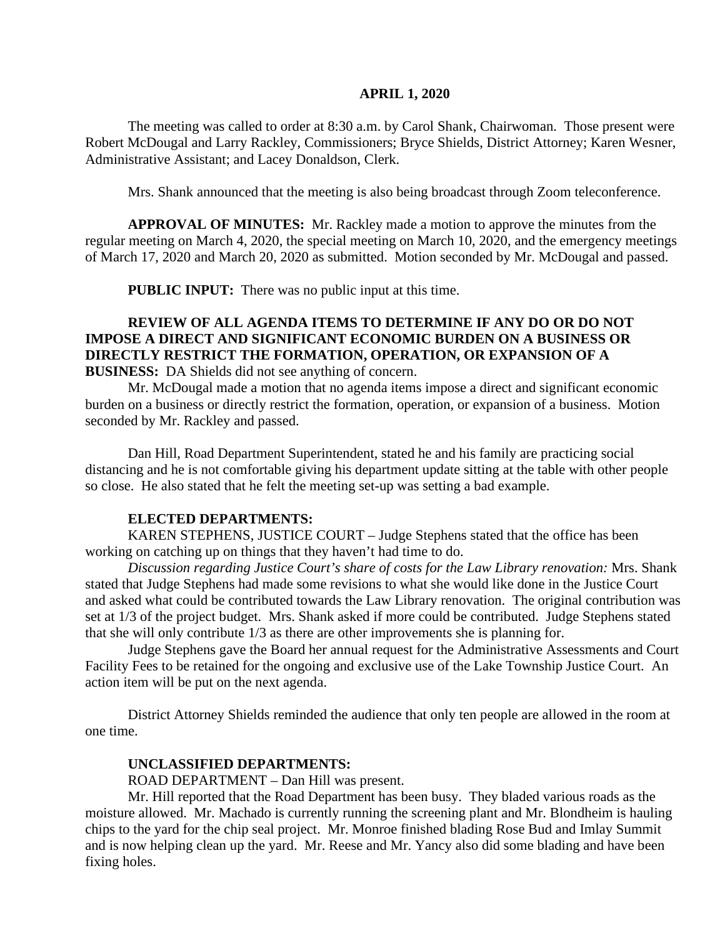#### **APRIL 1, 2020**

The meeting was called to order at 8:30 a.m. by Carol Shank, Chairwoman. Those present were Robert McDougal and Larry Rackley, Commissioners; Bryce Shields, District Attorney; Karen Wesner, Administrative Assistant; and Lacey Donaldson, Clerk.

Mrs. Shank announced that the meeting is also being broadcast through Zoom teleconference.

**APPROVAL OF MINUTES:** Mr. Rackley made a motion to approve the minutes from the regular meeting on March 4, 2020, the special meeting on March 10, 2020, and the emergency meetings of March 17, 2020 and March 20, 2020 as submitted. Motion seconded by Mr. McDougal and passed.

**PUBLIC INPUT:** There was no public input at this time.

# **REVIEW OF ALL AGENDA ITEMS TO DETERMINE IF ANY DO OR DO NOT IMPOSE A DIRECT AND SIGNIFICANT ECONOMIC BURDEN ON A BUSINESS OR DIRECTLY RESTRICT THE FORMATION, OPERATION, OR EXPANSION OF A**

**BUSINESS:** DA Shields did not see anything of concern.

Mr. McDougal made a motion that no agenda items impose a direct and significant economic burden on a business or directly restrict the formation, operation, or expansion of a business. Motion seconded by Mr. Rackley and passed.

Dan Hill, Road Department Superintendent, stated he and his family are practicing social distancing and he is not comfortable giving his department update sitting at the table with other people so close. He also stated that he felt the meeting set-up was setting a bad example.

#### **ELECTED DEPARTMENTS:**

KAREN STEPHENS, JUSTICE COURT – Judge Stephens stated that the office has been working on catching up on things that they haven't had time to do.

*Discussion regarding Justice Court's share of costs for the Law Library renovation:* Mrs. Shank stated that Judge Stephens had made some revisions to what she would like done in the Justice Court and asked what could be contributed towards the Law Library renovation. The original contribution was set at 1/3 of the project budget. Mrs. Shank asked if more could be contributed. Judge Stephens stated that she will only contribute 1/3 as there are other improvements she is planning for.

Judge Stephens gave the Board her annual request for the Administrative Assessments and Court Facility Fees to be retained for the ongoing and exclusive use of the Lake Township Justice Court. An action item will be put on the next agenda.

District Attorney Shields reminded the audience that only ten people are allowed in the room at one time.

#### **UNCLASSIFIED DEPARTMENTS:**

ROAD DEPARTMENT – Dan Hill was present.

Mr. Hill reported that the Road Department has been busy. They bladed various roads as the moisture allowed. Mr. Machado is currently running the screening plant and Mr. Blondheim is hauling chips to the yard for the chip seal project. Mr. Monroe finished blading Rose Bud and Imlay Summit and is now helping clean up the yard. Mr. Reese and Mr. Yancy also did some blading and have been fixing holes.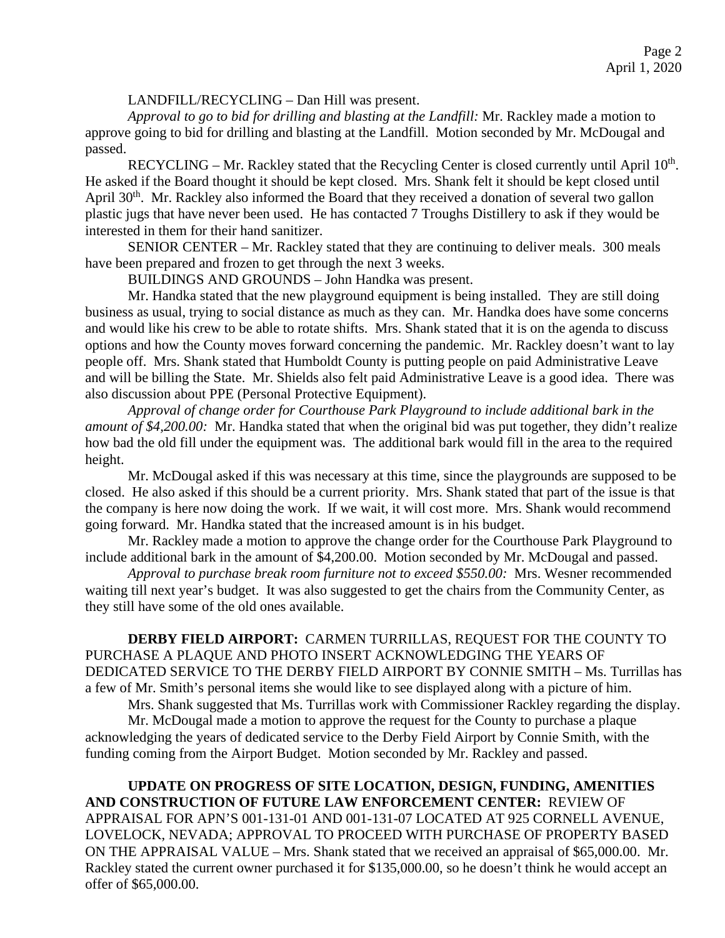### LANDFILL/RECYCLING – Dan Hill was present.

*Approval to go to bid for drilling and blasting at the Landfill:* Mr. Rackley made a motion to approve going to bid for drilling and blasting at the Landfill. Motion seconded by Mr. McDougal and passed.

RECYCLING – Mr. Rackley stated that the Recycling Center is closed currently until April  $10<sup>th</sup>$ . He asked if the Board thought it should be kept closed. Mrs. Shank felt it should be kept closed until April 30<sup>th</sup>. Mr. Rackley also informed the Board that they received a donation of several two gallon plastic jugs that have never been used. He has contacted 7 Troughs Distillery to ask if they would be interested in them for their hand sanitizer.

SENIOR CENTER – Mr. Rackley stated that they are continuing to deliver meals. 300 meals have been prepared and frozen to get through the next 3 weeks.

BUILDINGS AND GROUNDS – John Handka was present.

Mr. Handka stated that the new playground equipment is being installed. They are still doing business as usual, trying to social distance as much as they can. Mr. Handka does have some concerns and would like his crew to be able to rotate shifts. Mrs. Shank stated that it is on the agenda to discuss options and how the County moves forward concerning the pandemic. Mr. Rackley doesn't want to lay people off. Mrs. Shank stated that Humboldt County is putting people on paid Administrative Leave and will be billing the State. Mr. Shields also felt paid Administrative Leave is a good idea. There was also discussion about PPE (Personal Protective Equipment).

*Approval of change order for Courthouse Park Playground to include additional bark in the amount of \$4,200.00:* Mr. Handka stated that when the original bid was put together, they didn't realize how bad the old fill under the equipment was. The additional bark would fill in the area to the required height.

Mr. McDougal asked if this was necessary at this time, since the playgrounds are supposed to be closed. He also asked if this should be a current priority. Mrs. Shank stated that part of the issue is that the company is here now doing the work. If we wait, it will cost more. Mrs. Shank would recommend going forward. Mr. Handka stated that the increased amount is in his budget.

Mr. Rackley made a motion to approve the change order for the Courthouse Park Playground to include additional bark in the amount of \$4,200.00. Motion seconded by Mr. McDougal and passed.

*Approval to purchase break room furniture not to exceed \$550.00:* Mrs. Wesner recommended waiting till next year's budget. It was also suggested to get the chairs from the Community Center, as they still have some of the old ones available.

**DERBY FIELD AIRPORT:** CARMEN TURRILLAS, REQUEST FOR THE COUNTY TO PURCHASE A PLAQUE AND PHOTO INSERT ACKNOWLEDGING THE YEARS OF DEDICATED SERVICE TO THE DERBY FIELD AIRPORT BY CONNIE SMITH – Ms. Turrillas has a few of Mr. Smith's personal items she would like to see displayed along with a picture of him.

Mrs. Shank suggested that Ms. Turrillas work with Commissioner Rackley regarding the display.

Mr. McDougal made a motion to approve the request for the County to purchase a plaque acknowledging the years of dedicated service to the Derby Field Airport by Connie Smith, with the funding coming from the Airport Budget. Motion seconded by Mr. Rackley and passed.

**UPDATE ON PROGRESS OF SITE LOCATION, DESIGN, FUNDING, AMENITIES AND CONSTRUCTION OF FUTURE LAW ENFORCEMENT CENTER:** REVIEW OF APPRAISAL FOR APN'S 001-131-01 AND 001-131-07 LOCATED AT 925 CORNELL AVENUE, LOVELOCK, NEVADA; APPROVAL TO PROCEED WITH PURCHASE OF PROPERTY BASED ON THE APPRAISAL VALUE – Mrs. Shank stated that we received an appraisal of \$65,000.00. Mr. Rackley stated the current owner purchased it for \$135,000.00, so he doesn't think he would accept an offer of \$65,000.00.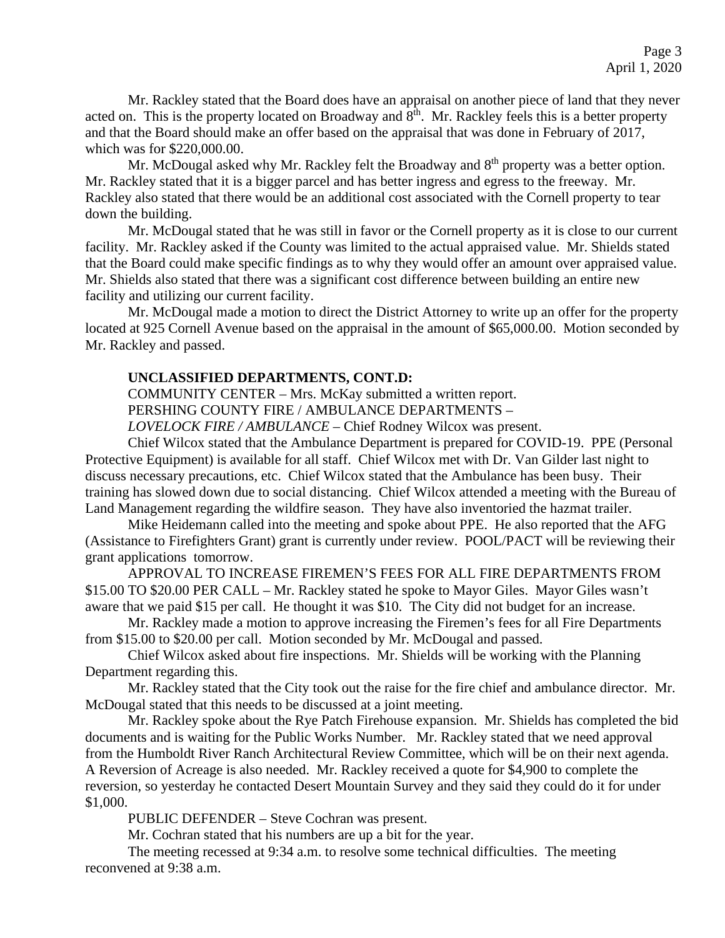Mr. Rackley stated that the Board does have an appraisal on another piece of land that they never acted on. This is the property located on Broadway and 8<sup>th</sup>. Mr. Rackley feels this is a better property and that the Board should make an offer based on the appraisal that was done in February of 2017, which was for \$220,000.00.

Mr. McDougal asked why Mr. Rackley felt the Broadway and  $8<sup>th</sup>$  property was a better option. Mr. Rackley stated that it is a bigger parcel and has better ingress and egress to the freeway. Mr. Rackley also stated that there would be an additional cost associated with the Cornell property to tear down the building.

Mr. McDougal stated that he was still in favor or the Cornell property as it is close to our current facility. Mr. Rackley asked if the County was limited to the actual appraised value. Mr. Shields stated that the Board could make specific findings as to why they would offer an amount over appraised value. Mr. Shields also stated that there was a significant cost difference between building an entire new facility and utilizing our current facility.

Mr. McDougal made a motion to direct the District Attorney to write up an offer for the property located at 925 Cornell Avenue based on the appraisal in the amount of \$65,000.00. Motion seconded by Mr. Rackley and passed.

### **UNCLASSIFIED DEPARTMENTS, CONT.D:**

COMMUNITY CENTER – Mrs. McKay submitted a written report.

PERSHING COUNTY FIRE / AMBULANCE DEPARTMENTS –

*LOVELOCK FIRE / AMBULANCE* – Chief Rodney Wilcox was present.

Chief Wilcox stated that the Ambulance Department is prepared for COVID-19. PPE (Personal Protective Equipment) is available for all staff. Chief Wilcox met with Dr. Van Gilder last night to discuss necessary precautions, etc. Chief Wilcox stated that the Ambulance has been busy. Their training has slowed down due to social distancing. Chief Wilcox attended a meeting with the Bureau of Land Management regarding the wildfire season. They have also inventoried the hazmat trailer.

Mike Heidemann called into the meeting and spoke about PPE. He also reported that the AFG (Assistance to Firefighters Grant) grant is currently under review. POOL/PACT will be reviewing their grant applications tomorrow.

APPROVAL TO INCREASE FIREMEN'S FEES FOR ALL FIRE DEPARTMENTS FROM \$15.00 TO \$20.00 PER CALL – Mr. Rackley stated he spoke to Mayor Giles. Mayor Giles wasn't aware that we paid \$15 per call. He thought it was \$10. The City did not budget for an increase.

Mr. Rackley made a motion to approve increasing the Firemen's fees for all Fire Departments from \$15.00 to \$20.00 per call. Motion seconded by Mr. McDougal and passed.

Chief Wilcox asked about fire inspections. Mr. Shields will be working with the Planning Department regarding this.

Mr. Rackley stated that the City took out the raise for the fire chief and ambulance director. Mr. McDougal stated that this needs to be discussed at a joint meeting.

Mr. Rackley spoke about the Rye Patch Firehouse expansion. Mr. Shields has completed the bid documents and is waiting for the Public Works Number. Mr. Rackley stated that we need approval from the Humboldt River Ranch Architectural Review Committee, which will be on their next agenda. A Reversion of Acreage is also needed. Mr. Rackley received a quote for \$4,900 to complete the reversion, so yesterday he contacted Desert Mountain Survey and they said they could do it for under \$1,000.

PUBLIC DEFENDER – Steve Cochran was present.

Mr. Cochran stated that his numbers are up a bit for the year.

The meeting recessed at 9:34 a.m. to resolve some technical difficulties. The meeting reconvened at 9:38 a.m.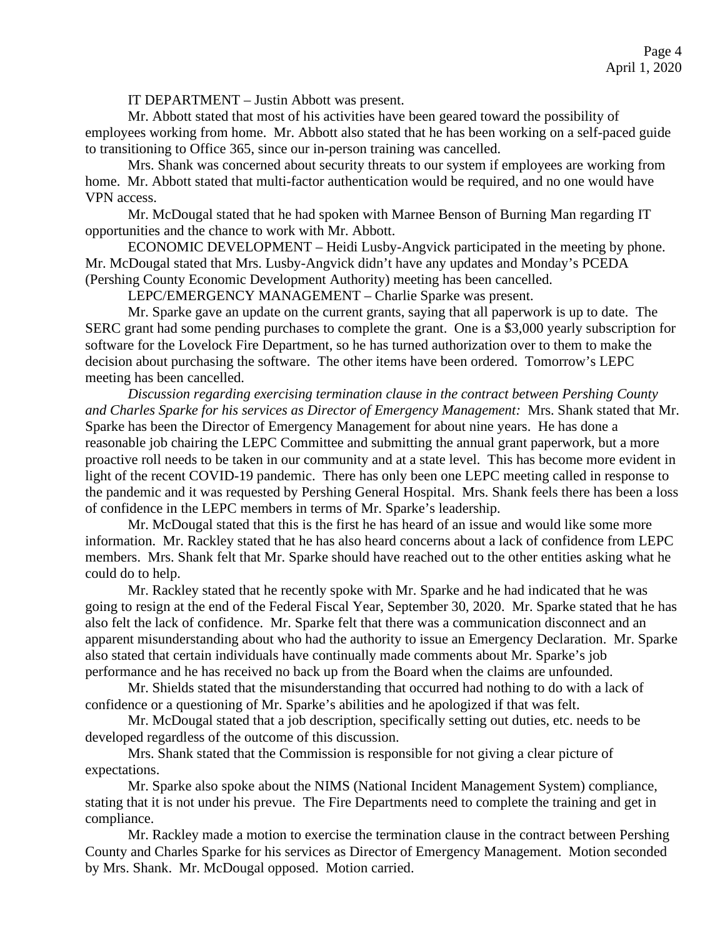IT DEPARTMENT – Justin Abbott was present.

Mr. Abbott stated that most of his activities have been geared toward the possibility of employees working from home. Mr. Abbott also stated that he has been working on a self-paced guide to transitioning to Office 365, since our in-person training was cancelled.

Mrs. Shank was concerned about security threats to our system if employees are working from home. Mr. Abbott stated that multi-factor authentication would be required, and no one would have VPN access.

Mr. McDougal stated that he had spoken with Marnee Benson of Burning Man regarding IT opportunities and the chance to work with Mr. Abbott.

ECONOMIC DEVELOPMENT – Heidi Lusby-Angvick participated in the meeting by phone. Mr. McDougal stated that Mrs. Lusby-Angvick didn't have any updates and Monday's PCEDA (Pershing County Economic Development Authority) meeting has been cancelled.

LEPC/EMERGENCY MANAGEMENT – Charlie Sparke was present.

Mr. Sparke gave an update on the current grants, saying that all paperwork is up to date. The SERC grant had some pending purchases to complete the grant. One is a \$3,000 yearly subscription for software for the Lovelock Fire Department, so he has turned authorization over to them to make the decision about purchasing the software. The other items have been ordered. Tomorrow's LEPC meeting has been cancelled.

*Discussion regarding exercising termination clause in the contract between Pershing County and Charles Sparke for his services as Director of Emergency Management:* Mrs. Shank stated that Mr. Sparke has been the Director of Emergency Management for about nine years. He has done a reasonable job chairing the LEPC Committee and submitting the annual grant paperwork, but a more proactive roll needs to be taken in our community and at a state level. This has become more evident in light of the recent COVID-19 pandemic. There has only been one LEPC meeting called in response to the pandemic and it was requested by Pershing General Hospital. Mrs. Shank feels there has been a loss of confidence in the LEPC members in terms of Mr. Sparke's leadership.

Mr. McDougal stated that this is the first he has heard of an issue and would like some more information. Mr. Rackley stated that he has also heard concerns about a lack of confidence from LEPC members. Mrs. Shank felt that Mr. Sparke should have reached out to the other entities asking what he could do to help.

Mr. Rackley stated that he recently spoke with Mr. Sparke and he had indicated that he was going to resign at the end of the Federal Fiscal Year, September 30, 2020. Mr. Sparke stated that he has also felt the lack of confidence. Mr. Sparke felt that there was a communication disconnect and an apparent misunderstanding about who had the authority to issue an Emergency Declaration. Mr. Sparke also stated that certain individuals have continually made comments about Mr. Sparke's job performance and he has received no back up from the Board when the claims are unfounded.

Mr. Shields stated that the misunderstanding that occurred had nothing to do with a lack of confidence or a questioning of Mr. Sparke's abilities and he apologized if that was felt.

Mr. McDougal stated that a job description, specifically setting out duties, etc. needs to be developed regardless of the outcome of this discussion.

Mrs. Shank stated that the Commission is responsible for not giving a clear picture of expectations.

Mr. Sparke also spoke about the NIMS (National Incident Management System) compliance, stating that it is not under his prevue. The Fire Departments need to complete the training and get in compliance.

Mr. Rackley made a motion to exercise the termination clause in the contract between Pershing County and Charles Sparke for his services as Director of Emergency Management. Motion seconded by Mrs. Shank. Mr. McDougal opposed. Motion carried.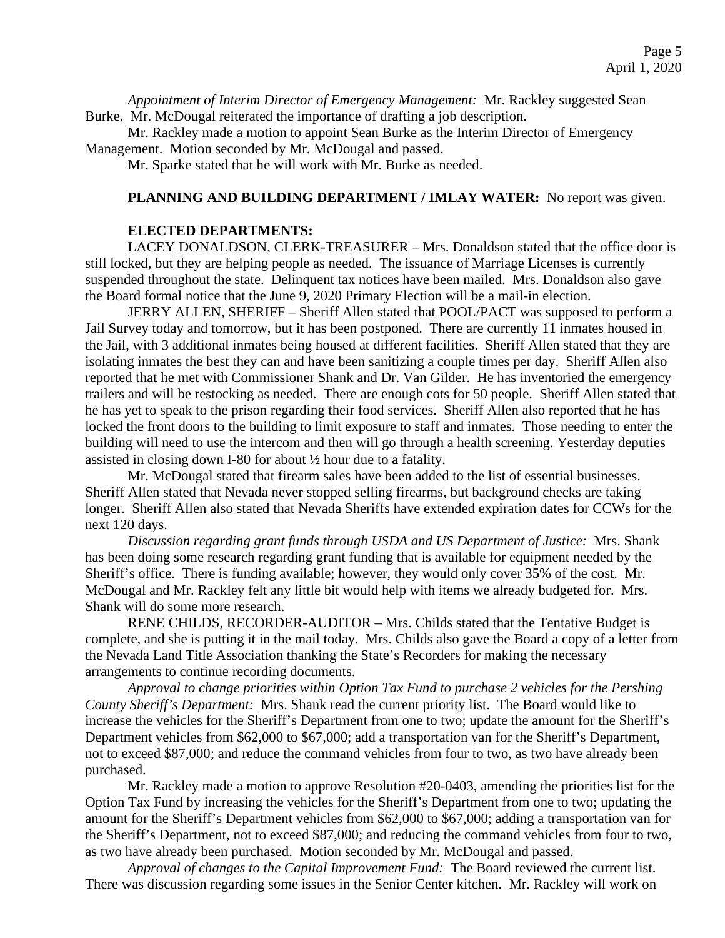*Appointment of Interim Director of Emergency Management:* Mr. Rackley suggested Sean Burke. Mr. McDougal reiterated the importance of drafting a job description.

Mr. Rackley made a motion to appoint Sean Burke as the Interim Director of Emergency Management. Motion seconded by Mr. McDougal and passed.

Mr. Sparke stated that he will work with Mr. Burke as needed.

## **PLANNING AND BUILDING DEPARTMENT / IMLAY WATER:** No report was given.

## **ELECTED DEPARTMENTS:**

LACEY DONALDSON, CLERK-TREASURER – Mrs. Donaldson stated that the office door is still locked, but they are helping people as needed. The issuance of Marriage Licenses is currently suspended throughout the state. Delinquent tax notices have been mailed. Mrs. Donaldson also gave the Board formal notice that the June 9, 2020 Primary Election will be a mail-in election.

JERRY ALLEN, SHERIFF – Sheriff Allen stated that POOL/PACT was supposed to perform a Jail Survey today and tomorrow, but it has been postponed. There are currently 11 inmates housed in the Jail, with 3 additional inmates being housed at different facilities. Sheriff Allen stated that they are isolating inmates the best they can and have been sanitizing a couple times per day. Sheriff Allen also reported that he met with Commissioner Shank and Dr. Van Gilder. He has inventoried the emergency trailers and will be restocking as needed. There are enough cots for 50 people. Sheriff Allen stated that he has yet to speak to the prison regarding their food services. Sheriff Allen also reported that he has locked the front doors to the building to limit exposure to staff and inmates. Those needing to enter the building will need to use the intercom and then will go through a health screening. Yesterday deputies assisted in closing down I-80 for about ½ hour due to a fatality.

Mr. McDougal stated that firearm sales have been added to the list of essential businesses. Sheriff Allen stated that Nevada never stopped selling firearms, but background checks are taking longer. Sheriff Allen also stated that Nevada Sheriffs have extended expiration dates for CCWs for the next 120 days.

*Discussion regarding grant funds through USDA and US Department of Justice:* Mrs. Shank has been doing some research regarding grant funding that is available for equipment needed by the Sheriff's office. There is funding available; however, they would only cover 35% of the cost. Mr. McDougal and Mr. Rackley felt any little bit would help with items we already budgeted for. Mrs. Shank will do some more research.

RENE CHILDS, RECORDER-AUDITOR – Mrs. Childs stated that the Tentative Budget is complete, and she is putting it in the mail today. Mrs. Childs also gave the Board a copy of a letter from the Nevada Land Title Association thanking the State's Recorders for making the necessary arrangements to continue recording documents.

*Approval to change priorities within Option Tax Fund to purchase 2 vehicles for the Pershing County Sheriff's Department:* Mrs. Shank read the current priority list. The Board would like to increase the vehicles for the Sheriff's Department from one to two; update the amount for the Sheriff's Department vehicles from \$62,000 to \$67,000; add a transportation van for the Sheriff's Department, not to exceed \$87,000; and reduce the command vehicles from four to two, as two have already been purchased.

Mr. Rackley made a motion to approve Resolution #20-0403, amending the priorities list for the Option Tax Fund by increasing the vehicles for the Sheriff's Department from one to two; updating the amount for the Sheriff's Department vehicles from \$62,000 to \$67,000; adding a transportation van for the Sheriff's Department, not to exceed \$87,000; and reducing the command vehicles from four to two, as two have already been purchased. Motion seconded by Mr. McDougal and passed.

*Approval of changes to the Capital Improvement Fund:* The Board reviewed the current list. There was discussion regarding some issues in the Senior Center kitchen. Mr. Rackley will work on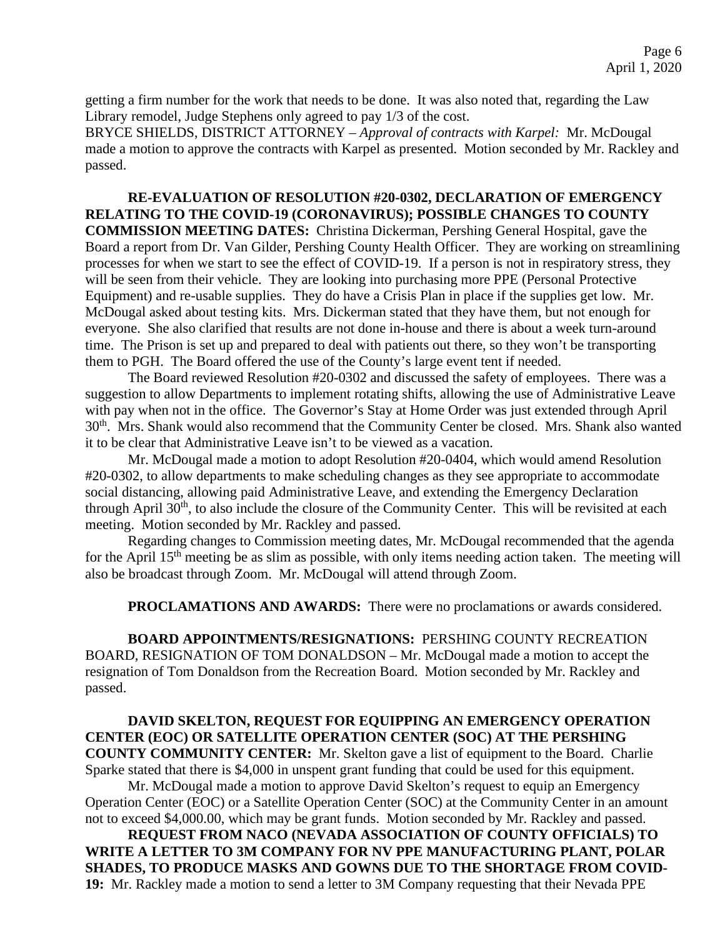getting a firm number for the work that needs to be done. It was also noted that, regarding the Law Library remodel, Judge Stephens only agreed to pay 1/3 of the cost.

BRYCE SHIELDS, DISTRICT ATTORNEY – *Approval of contracts with Karpel:* Mr. McDougal made a motion to approve the contracts with Karpel as presented. Motion seconded by Mr. Rackley and passed.

**RE-EVALUATION OF RESOLUTION #20-0302, DECLARATION OF EMERGENCY RELATING TO THE COVID-19 (CORONAVIRUS); POSSIBLE CHANGES TO COUNTY COMMISSION MEETING DATES:** Christina Dickerman, Pershing General Hospital, gave the Board a report from Dr. Van Gilder, Pershing County Health Officer. They are working on streamlining processes for when we start to see the effect of COVID-19. If a person is not in respiratory stress, they will be seen from their vehicle. They are looking into purchasing more PPE (Personal Protective Equipment) and re-usable supplies. They do have a Crisis Plan in place if the supplies get low. Mr. McDougal asked about testing kits. Mrs. Dickerman stated that they have them, but not enough for everyone. She also clarified that results are not done in-house and there is about a week turn-around time. The Prison is set up and prepared to deal with patients out there, so they won't be transporting them to PGH. The Board offered the use of the County's large event tent if needed.

The Board reviewed Resolution #20-0302 and discussed the safety of employees. There was a suggestion to allow Departments to implement rotating shifts, allowing the use of Administrative Leave with pay when not in the office. The Governor's Stay at Home Order was just extended through April 30th. Mrs. Shank would also recommend that the Community Center be closed. Mrs. Shank also wanted it to be clear that Administrative Leave isn't to be viewed as a vacation.

Mr. McDougal made a motion to adopt Resolution #20-0404, which would amend Resolution #20-0302, to allow departments to make scheduling changes as they see appropriate to accommodate social distancing, allowing paid Administrative Leave, and extending the Emergency Declaration through April 30<sup>th</sup>, to also include the closure of the Community Center. This will be revisited at each meeting. Motion seconded by Mr. Rackley and passed.

Regarding changes to Commission meeting dates, Mr. McDougal recommended that the agenda for the April  $15<sup>th</sup>$  meeting be as slim as possible, with only items needing action taken. The meeting will also be broadcast through Zoom. Mr. McDougal will attend through Zoom.

**PROCLAMATIONS AND AWARDS:** There were no proclamations or awards considered.

**BOARD APPOINTMENTS/RESIGNATIONS:** PERSHING COUNTY RECREATION BOARD, RESIGNATION OF TOM DONALDSON – Mr. McDougal made a motion to accept the resignation of Tom Donaldson from the Recreation Board. Motion seconded by Mr. Rackley and passed.

# **DAVID SKELTON, REQUEST FOR EQUIPPING AN EMERGENCY OPERATION CENTER (EOC) OR SATELLITE OPERATION CENTER (SOC) AT THE PERSHING COUNTY COMMUNITY CENTER:** Mr. Skelton gave a list of equipment to the Board. Charlie Sparke stated that there is \$4,000 in unspent grant funding that could be used for this equipment.

Mr. McDougal made a motion to approve David Skelton's request to equip an Emergency Operation Center (EOC) or a Satellite Operation Center (SOC) at the Community Center in an amount not to exceed \$4,000.00, which may be grant funds. Motion seconded by Mr. Rackley and passed.

**REQUEST FROM NACO (NEVADA ASSOCIATION OF COUNTY OFFICIALS) TO WRITE A LETTER TO 3M COMPANY FOR NV PPE MANUFACTURING PLANT, POLAR SHADES, TO PRODUCE MASKS AND GOWNS DUE TO THE SHORTAGE FROM COVID-19:** Mr. Rackley made a motion to send a letter to 3M Company requesting that their Nevada PPE